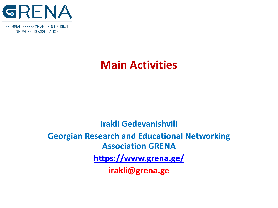

# **Main Activities**

# **Irakli Gedevanishvili Georgian Research and Educational Networking Association GRENA <https://www.grena.ge/> irakli@grena.ge**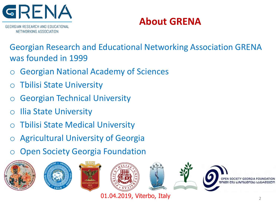

**About GRENA**

GEORGIAN RESEARCH AND EDUCATIONAL NETWORKING ASSOCIATION

Georgian Research and Educational Networking Association GRENA was founded in 1999

- **Georgian National Academy of Sciences**
- **Tbilisi State University**
- **Georgian Technical University**
- **Ilia State University**
- **Thilisi State Medical University**
- Agricultural University of Georgia
- o Open Society Georgia Foundation



01.04.2019, Viterbo, Italy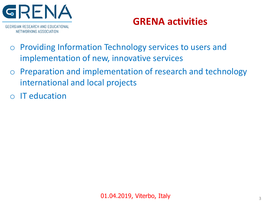

# **GRENA activities**

- o Providing Information Technology services to users and implementation of new, innovative services
- o Preparation and implementation of research and technology international and local projects
- o IT education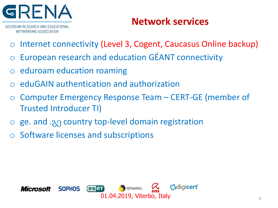

# **Network services**

- Internet connectivity (Level 3, Cogent, Caucasus Online backup)
- European research and education GÉANT connectivity
- eduroam education roaming
- o eduGAIN authentication and authorization
- o Computer Emergency Response Team CERT-GE (member of Trusted Introducer TI)
- o ge. and .გე country top-level domain registration
- Software licenses and subscriptions

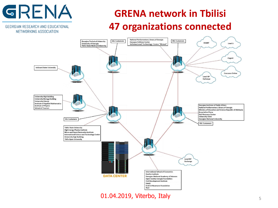# GRENA

GEORGIAN RESEARCH AND EDUCATIONAL NETWORKING ASSOCIATION

# **GRENA network in Tbilisi 47 organizations connected**



01.04.2019, Viterbo, Italy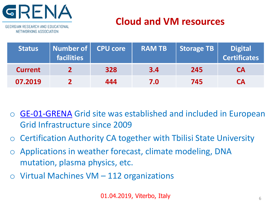

# **Cloud and VM resources**

GEORGIAN RESEARCH AND EDUCATIONAL NETWORKING ASSOCIATION

| <b>Status</b>  | Number of   CPU core<br><b>facilities</b> |     | <b>RAM TB</b> | <b>Storage TB</b> | <b>Digital</b><br><b>Certificates</b> |
|----------------|-------------------------------------------|-----|---------------|-------------------|---------------------------------------|
| <b>Current</b> |                                           | 328 | 3.4           | 245               | <b>CA</b>                             |
| 07.2019        |                                           | 444 | 7.0           | 745               | <b>CA</b>                             |

- [GE-01-GRENA](http://goc.grid.sinica.edu.tw/gstat/GE-01-GRENA/www.grena.ge) Grid site was established and included in European Grid Infrastructure since 2009
- o Certification Authority CA together with Tbilisi State University
- o Applications in weather forecast, climate modeling, DNA mutation, plasma physics, etc.
- $\circ$  Virtual Machines VM 112 organizations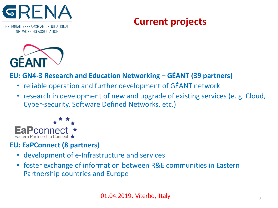

# **Current projects**



#### **EU: GN4-3 Research and Education Networking – GÉANT (39 partners)**

- reliable operation and further development of GÉANT network
- research in development of new and upgrade of existing services (e. g. Cloud, Cyber-security, Software Defined Networks, etc.)



#### **EU: EaPConnect (8 partners)**

- development of e-Infrastructure and services
- foster exchange of information between R&E communities in Eastern Partnership countries and Europe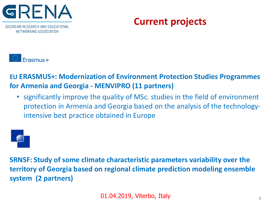

# **Current projects**



**EU ERASMUS+: Modernization of Environment Protection Studies Programmes for Armenia and Georgia - MENVIPRO (11 partners)**

• significantly improve the quality of MSc. studies in the field of environment protection in Armenia and Georgia based on the analysis of the technologyintensive best practice obtained in Europe



**SRNSF: Study of some climate characteristic parameters variability over the territory of Georgia based on regional climate prediction modeling ensemble system (2 partners)**

01.04.2019, Viterbo, Italy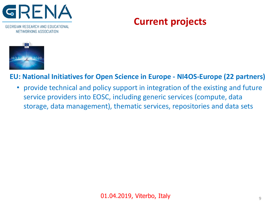

# **Current projects**



#### **EU: National Initiatives for Open Science in Europe - NI4OS-Europe (22 partners)**

• provide technical and policy support in integration of the existing and future service providers into EOSC, including generic services (compute, data storage, data management), thematic services, repositories and data sets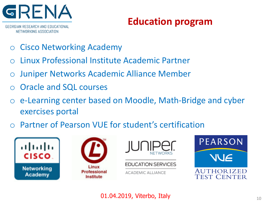

# **Education program**

- **Cisco Networking Academy**
- Linux Professional Institute Academic Partner
- Juniper Networks Academic Alliance Member
- Oracle and SQL courses
- o e-Learning center based on Moodle, Math-Bridge and cyber exercises portal
- Partner of Pearson VUE for student's certification







#### **EDUCATION SERVICES**

ACADEMIC ALLIANCE



**01.04.2019, Viterbo, Italy 1001.04.2019, Viterbo, Italy**